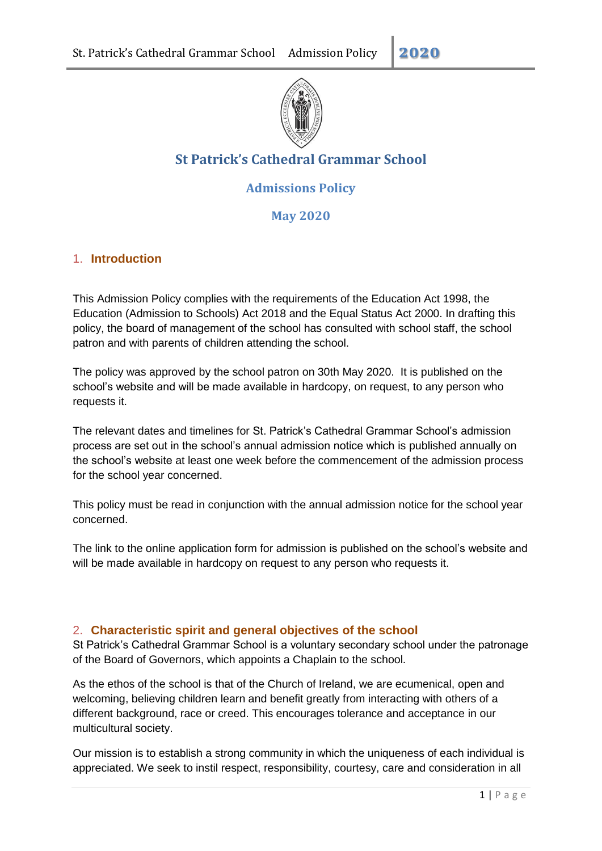

# **St Patrick's Cathedral Grammar School**

# **Admissions Policy**

**May 2020**

# 1. **Introduction**

This Admission Policy complies with the requirements of the Education Act 1998, the Education (Admission to Schools) Act 2018 and the Equal Status Act 2000. In drafting this policy, the board of management of the school has consulted with school staff, the school patron and with parents of children attending the school.

The policy was approved by the school patron on 30th May 2020. It is published on the school's website and will be made available in hardcopy, on request, to any person who requests it.

The relevant dates and timelines for St. Patrick's Cathedral Grammar School's admission process are set out in the school's annual admission notice which is published annually on the school's website at least one week before the commencement of the admission process for the school year concerned.

This policy must be read in conjunction with the annual admission notice for the school year concerned.

The link to the online application form for admission is published on the school's website and will be made available in hardcopy on request to any person who requests it.

### 2. **Characteristic spirit and general objectives of the school**

St Patrick's Cathedral Grammar School is a voluntary secondary school under the patronage of the Board of Governors, which appoints a Chaplain to the school.

As the ethos of the school is that of the Church of Ireland, we are ecumenical, open and welcoming, believing children learn and benefit greatly from interacting with others of a different background, race or creed. This encourages tolerance and acceptance in our multicultural society.

Our mission is to establish a strong community in which the uniqueness of each individual is appreciated. We seek to instil respect, responsibility, courtesy, care and consideration in all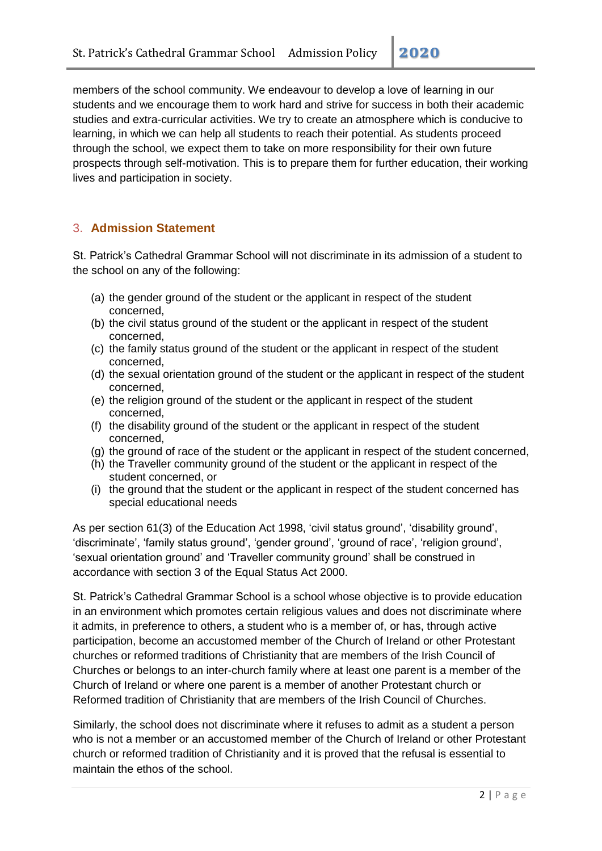members of the school community. We endeavour to develop a love of learning in our students and we encourage them to work hard and strive for success in both their academic studies and extra-curricular activities. We try to create an atmosphere which is conducive to learning, in which we can help all students to reach their potential. As students proceed through the school, we expect them to take on more responsibility for their own future prospects through self-motivation. This is to prepare them for further education, their working lives and participation in society.

# 3. **Admission Statement**

St. Patrick's Cathedral Grammar School will not discriminate in its admission of a student to the school on any of the following:

- (a) the gender ground of the student or the applicant in respect of the student concerned,
- (b) the civil status ground of the student or the applicant in respect of the student concerned,
- (c) the family status ground of the student or the applicant in respect of the student concerned,
- (d) the sexual orientation ground of the student or the applicant in respect of the student concerned,
- (e) the religion ground of the student or the applicant in respect of the student concerned,
- (f) the disability ground of the student or the applicant in respect of the student concerned,
- (g) the ground of race of the student or the applicant in respect of the student concerned,
- (h) the Traveller community ground of the student or the applicant in respect of the student concerned, or
- (i) the ground that the student or the applicant in respect of the student concerned has special educational needs

As per section 61(3) of the Education Act 1998, 'civil status ground', 'disability ground', 'discriminate', 'family status ground', 'gender ground', 'ground of race', 'religion ground', 'sexual orientation ground' and 'Traveller community ground' shall be construed in accordance with section 3 of the Equal Status Act 2000.

St. Patrick's Cathedral Grammar School is a school whose objective is to provide education in an environment which promotes certain religious values and does not discriminate where it admits, in preference to others, a student who is a member of, or has, through active participation, become an accustomed member of the Church of Ireland or other Protestant churches or reformed traditions of Christianity that are members of the Irish Council of Churches or belongs to an inter-church family where at least one parent is a member of the Church of Ireland or where one parent is a member of another Protestant church or Reformed tradition of Christianity that are members of the Irish Council of Churches.

Similarly, the school does not discriminate where it refuses to admit as a student a person who is not a member or an accustomed member of the Church of Ireland or other Protestant church or reformed tradition of Christianity and it is proved that the refusal is essential to maintain the ethos of the school.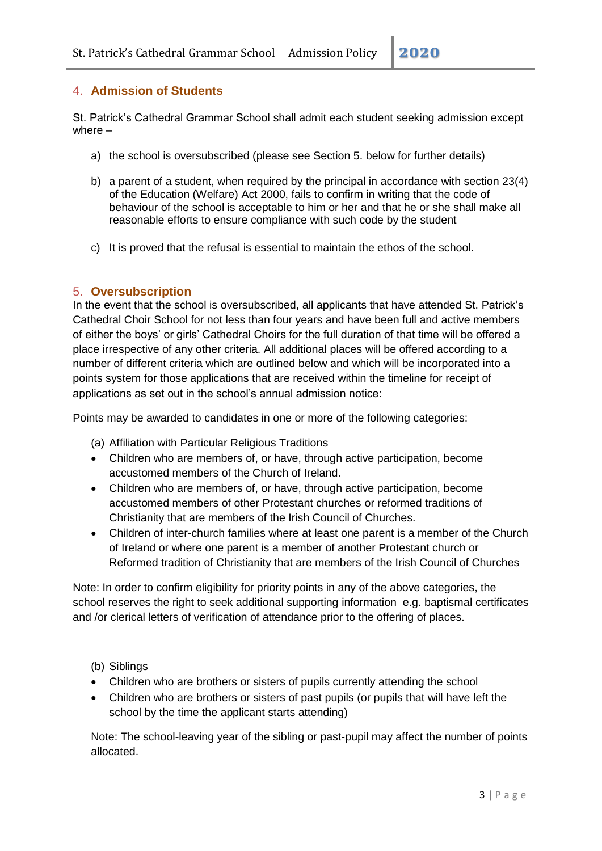### 4. **Admission of Students**

St. Patrick's Cathedral Grammar School shall admit each student seeking admission except where –

- a) the school is oversubscribed (please see Section 5. below for further details)
- b) a parent of a student, when required by the principal in accordance with section 23(4) of the Education (Welfare) Act 2000, fails to confirm in writing that the code of behaviour of the school is acceptable to him or her and that he or she shall make all reasonable efforts to ensure compliance with such code by the student
- c) It is proved that the refusal is essential to maintain the ethos of the school.

#### 5. **Oversubscription**

In the event that the school is oversubscribed, all applicants that have attended St. Patrick's Cathedral Choir School for not less than four years and have been full and active members of either the boys' or girls' Cathedral Choirs for the full duration of that time will be offered a place irrespective of any other criteria. All additional places will be offered according to a number of different criteria which are outlined below and which will be incorporated into a points system for those applications that are received within the timeline for receipt of applications as set out in the school's annual admission notice:

Points may be awarded to candidates in one or more of the following categories:

(a) Affiliation with Particular Religious Traditions

- Children who are members of, or have, through active participation, become accustomed members of the Church of Ireland.
- Children who are members of, or have, through active participation, become accustomed members of other Protestant churches or reformed traditions of Christianity that are members of the Irish Council of Churches.
- Children of inter-church families where at least one parent is a member of the Church of Ireland or where one parent is a member of another Protestant church or Reformed tradition of Christianity that are members of the Irish Council of Churches

Note: In order to confirm eligibility for priority points in any of the above categories, the school reserves the right to seek additional supporting information e.g. baptismal certificates and /or clerical letters of verification of attendance prior to the offering of places.

#### (b) Siblings

- Children who are brothers or sisters of pupils currently attending the school
- Children who are brothers or sisters of past pupils (or pupils that will have left the school by the time the applicant starts attending)

Note: The school-leaving year of the sibling or past-pupil may affect the number of points allocated.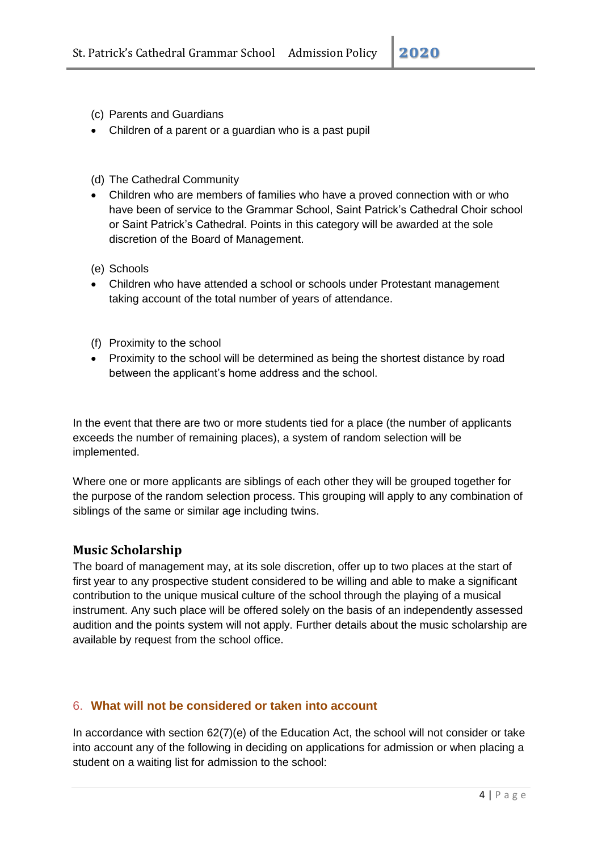- (c) Parents and Guardians
- Children of a parent or a guardian who is a past pupil
- (d) The Cathedral Community
- Children who are members of families who have a proved connection with or who have been of service to the Grammar School, Saint Patrick's Cathedral Choir school or Saint Patrick's Cathedral. Points in this category will be awarded at the sole discretion of the Board of Management.
- (e) Schools
- Children who have attended a school or schools under Protestant management taking account of the total number of years of attendance.
- (f) Proximity to the school
- Proximity to the school will be determined as being the shortest distance by road between the applicant's home address and the school.

In the event that there are two or more students tied for a place (the number of applicants exceeds the number of remaining places), a system of random selection will be implemented.

Where one or more applicants are siblings of each other they will be grouped together for the purpose of the random selection process. This grouping will apply to any combination of siblings of the same or similar age including twins.

#### **Music Scholarship**

The board of management may, at its sole discretion, offer up to two places at the start of first year to any prospective student considered to be willing and able to make a significant contribution to the unique musical culture of the school through the playing of a musical instrument. Any such place will be offered solely on the basis of an independently assessed audition and the points system will not apply. Further details about the music scholarship are available by request from the school office.

#### 6. **What will not be considered or taken into account**

In accordance with section 62(7)(e) of the Education Act, the school will not consider or take into account any of the following in deciding on applications for admission or when placing a student on a waiting list for admission to the school: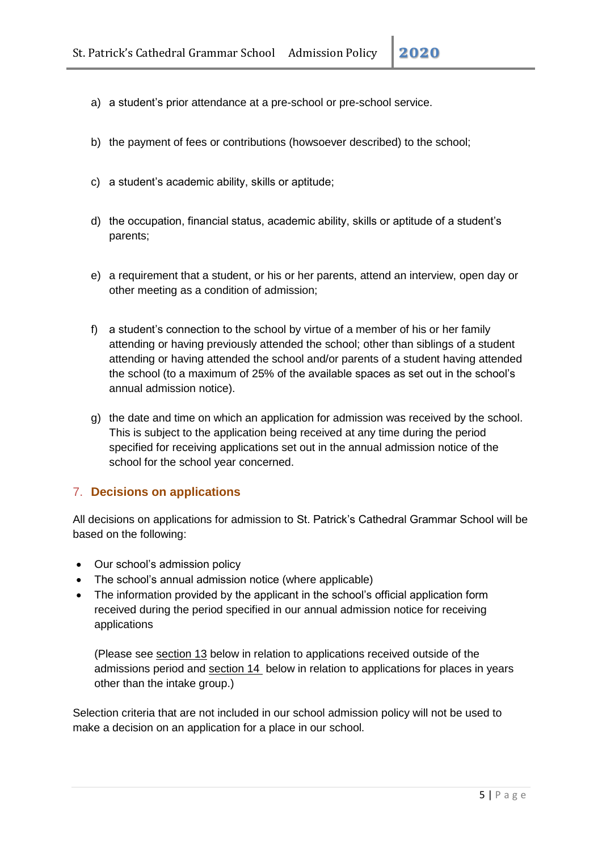- a) a student's prior attendance at a pre-school or pre-school service.
- b) the payment of fees or contributions (howsoever described) to the school;
- c) a student's academic ability, skills or aptitude;
- d) the occupation, financial status, academic ability, skills or aptitude of a student's parents;
- e) a requirement that a student, or his or her parents, attend an interview, open day or other meeting as a condition of admission;
- f) a student's connection to the school by virtue of a member of his or her family attending or having previously attended the school; other than siblings of a student attending or having attended the school and/or parents of a student having attended the school (to a maximum of 25% of the available spaces as set out in the school's annual admission notice).
- g) the date and time on which an application for admission was received by the school. This is subject to the application being received at any time during the period specified for receiving applications set out in the annual admission notice of the school for the school year concerned.

#### 7. **Decisions on applications**

All decisions on applications for admission to St. Patrick's Cathedral Grammar School will be based on the following:

- Our school's admission policy
- The school's annual admission notice (where applicable)
- The information provided by the applicant in the school's official application form received during the period specified in our annual admission notice for receiving applications

(Please see section 13 below in relation to applications received outside of the admissions period and section 14 below in relation to applications for places in years other than the intake group.)

Selection criteria that are not included in our school admission policy will not be used to make a decision on an application for a place in our school.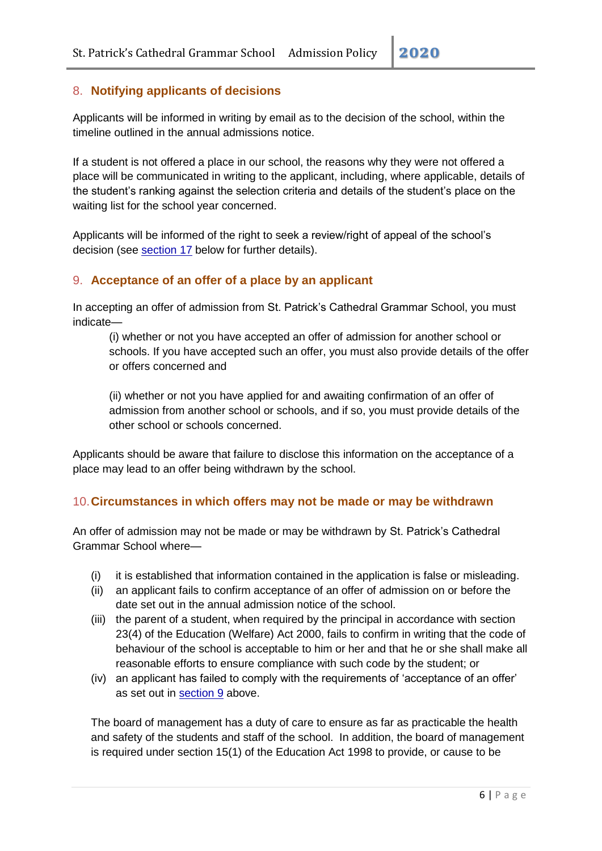### 8. **Notifying applicants of decisions**

Applicants will be informed in writing by email as to the decision of the school, within the timeline outlined in the annual admissions notice.

If a student is not offered a place in our school, the reasons why they were not offered a place will be communicated in writing to the applicant, including, where applicable, details of the student's ranking against the selection criteria and details of the student's place on the waiting list for the school year concerned.

Applicants will be informed of the right to seek a review/right of appeal of the school's decision (see [section 17](#page-8-0) below for further details).

### 9. **Acceptance of an offer of a place by an applicant**

In accepting an offer of admission from St. Patrick's Cathedral Grammar School, you must indicate—

(i) whether or not you have accepted an offer of admission for another school or schools. If you have accepted such an offer, you must also provide details of the offer or offers concerned and

(ii) whether or not you have applied for and awaiting confirmation of an offer of admission from another school or schools, and if so, you must provide details of the other school or schools concerned.

Applicants should be aware that failure to disclose this information on the acceptance of a place may lead to an offer being withdrawn by the school.

### 10.**Circumstances in which offers may not be made or may be withdrawn**

An offer of admission may not be made or may be withdrawn by St. Patrick's Cathedral Grammar School where—

- (i) it is established that information contained in the application is false or misleading.
- (ii) an applicant fails to confirm acceptance of an offer of admission on or before the date set out in the annual admission notice of the school.
- (iii) the parent of a student, when required by the principal in accordance with section 23(4) of the Education (Welfare) Act 2000, fails to confirm in writing that the code of behaviour of the school is acceptable to him or her and that he or she shall make all reasonable efforts to ensure compliance with such code by the student; or
- (iv) an applicant has failed to comply with the requirements of 'acceptance of an offer' as set out in section 9 above.

The board of management has a duty of care to ensure as far as practicable the health and safety of the students and staff of the school. In addition, the board of management is required under section 15(1) of the Education Act 1998 to provide, or cause to be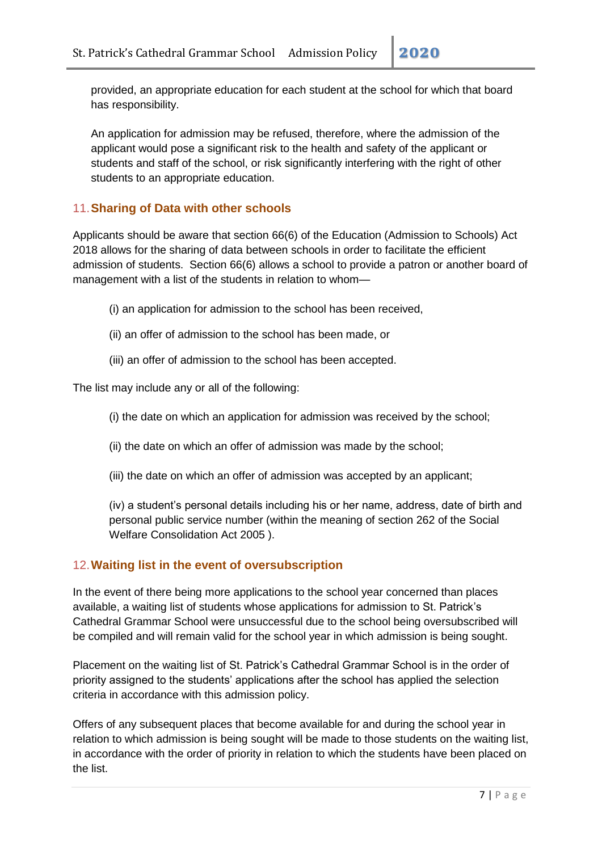provided, an appropriate education for each student at the school for which that board has responsibility.

An application for admission may be refused, therefore, where the admission of the applicant would pose a significant risk to the health and safety of the applicant or students and staff of the school, or risk significantly interfering with the right of other students to an appropriate education.

# 11.**Sharing of Data with other schools**

Applicants should be aware that section 66(6) of the Education (Admission to Schools) Act 2018 allows for the sharing of data between schools in order to facilitate the efficient admission of students. Section 66(6) allows a school to provide a patron or another board of management with a list of the students in relation to whom—

- (i) an application for admission to the school has been received,
- (ii) an offer of admission to the school has been made, or
- (iii) an offer of admission to the school has been accepted.

The list may include any or all of the following:

- (i) the date on which an application for admission was received by the school;
- (ii) the date on which an offer of admission was made by the school;
- (iii) the date on which an offer of admission was accepted by an applicant;

(iv) a student's personal details including his or her name, address, date of birth and personal public service number (within the meaning of section 262 of the Social Welfare Consolidation Act 2005 ).

### 12.**Waiting list in the event of oversubscription**

In the event of there being more applications to the school year concerned than places available, a waiting list of students whose applications for admission to St. Patrick's Cathedral Grammar School were unsuccessful due to the school being oversubscribed will be compiled and will remain valid for the school year in which admission is being sought.

Placement on the waiting list of St. Patrick's Cathedral Grammar School is in the order of priority assigned to the students' applications after the school has applied the selection criteria in accordance with this admission policy.

Offers of any subsequent places that become available for and during the school year in relation to which admission is being sought will be made to those students on the waiting list, in accordance with the order of priority in relation to which the students have been placed on the list.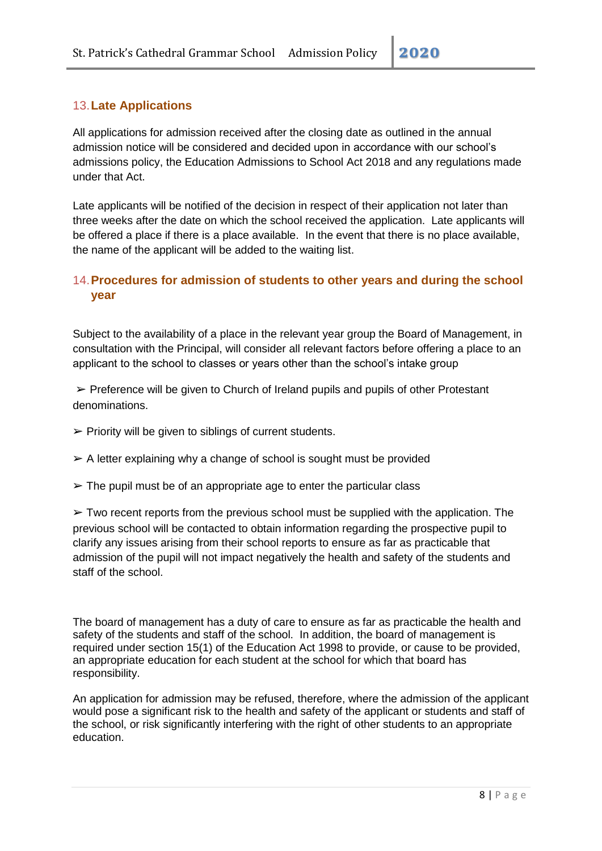# 13.**Late Applications**

All applications for admission received after the closing date as outlined in the annual admission notice will be considered and decided upon in accordance with our school's admissions policy, the Education Admissions to School Act 2018 and any regulations made under that Act.

Late applicants will be notified of the decision in respect of their application not later than three weeks after the date on which the school received the application. Late applicants will be offered a place if there is a place available. In the event that there is no place available, the name of the applicant will be added to the waiting list.

## 14.**Procedures for admission of students to other years and during the school year**

Subject to the availability of a place in the relevant year group the Board of Management, in consultation with the Principal, will consider all relevant factors before offering a place to an applicant to the school to classes or years other than the school's intake group

 $\triangleright$  Preference will be given to Church of Ireland pupils and pupils of other Protestant denominations.

- $\triangleright$  Priority will be given to siblings of current students.
- $\triangleright$  A letter explaining why a change of school is sought must be provided
- $\geq$  The pupil must be of an appropriate age to enter the particular class

 $\triangleright$  Two recent reports from the previous school must be supplied with the application. The previous school will be contacted to obtain information regarding the prospective pupil to clarify any issues arising from their school reports to ensure as far as practicable that admission of the pupil will not impact negatively the health and safety of the students and staff of the school.

The board of management has a duty of care to ensure as far as practicable the health and safety of the students and staff of the school. In addition, the board of management is required under section 15(1) of the Education Act 1998 to provide, or cause to be provided, an appropriate education for each student at the school for which that board has responsibility.

An application for admission may be refused, therefore, where the admission of the applicant would pose a significant risk to the health and safety of the applicant or students and staff of the school, or risk significantly interfering with the right of other students to an appropriate education.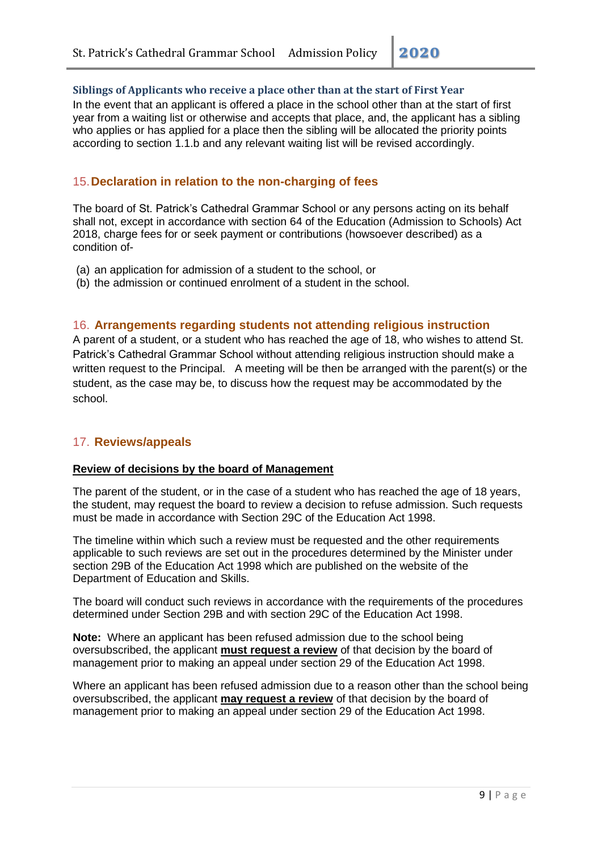#### **Siblings of Applicants who receive a place other than at the start of First Year**

In the event that an applicant is offered a place in the school other than at the start of first year from a waiting list or otherwise and accepts that place, and, the applicant has a sibling who applies or has applied for a place then the sibling will be allocated the priority points according to section 1.1.b and any relevant waiting list will be revised accordingly.

#### 15.**Declaration in relation to the non-charging of fees**

The board of St. Patrick's Cathedral Grammar School or any persons acting on its behalf shall not, except in accordance with section 64 of the Education (Admission to Schools) Act 2018, charge fees for or seek payment or contributions (howsoever described) as a condition of-

- (a) an application for admission of a student to the school, or
- (b) the admission or continued enrolment of a student in the school.

#### 16. **Arrangements regarding students not attending religious instruction**

A parent of a student, or a student who has reached the age of 18, who wishes to attend St. Patrick's Cathedral Grammar School without attending religious instruction should make a written request to the Principal. A meeting will be then be arranged with the parent(s) or the student, as the case may be, to discuss how the request may be accommodated by the school.

#### <span id="page-8-0"></span>17. **Reviews/appeals**

#### **Review of decisions by the board of Management**

The parent of the student, or in the case of a student who has reached the age of 18 years, the student, may request the board to review a decision to refuse admission. Such requests must be made in accordance with Section 29C of the Education Act 1998.

The timeline within which such a review must be requested and the other requirements applicable to such reviews are set out in the procedures determined by the Minister under section 29B of the Education Act 1998 which are published on the website of the Department of Education and Skills.

The board will conduct such reviews in accordance with the requirements of the procedures determined under Section 29B and with section 29C of the Education Act 1998.

**Note:** Where an applicant has been refused admission due to the school being oversubscribed, the applicant **must request a review** of that decision by the board of management prior to making an appeal under section 29 of the Education Act 1998.

Where an applicant has been refused admission due to a reason other than the school being oversubscribed, the applicant **may request a review** of that decision by the board of management prior to making an appeal under section 29 of the Education Act 1998.